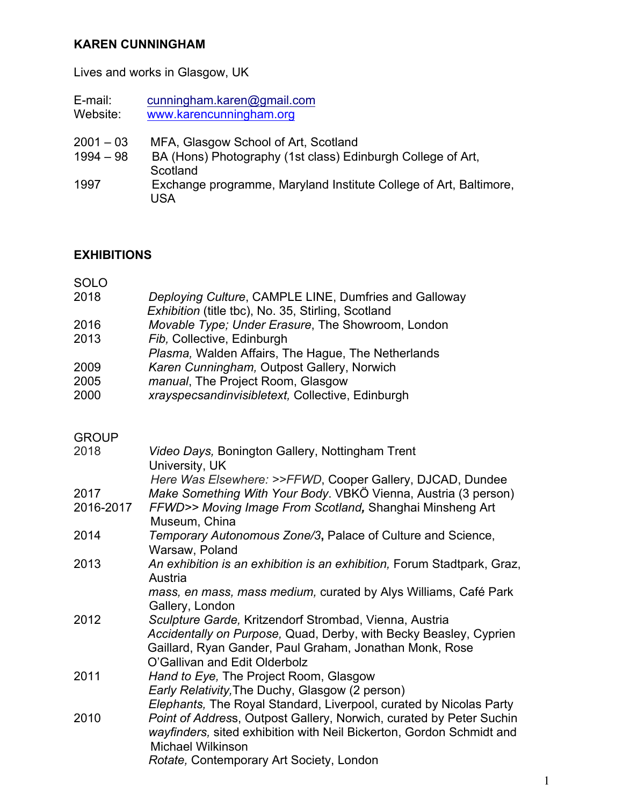#### **KAREN CUNNINGHAM**

Lives and works in Glasgow, UK

- E-mail: cunningham.karen@gmail.com<br>Website: www.karencunningham.org www.karencunningham.org
- 2001 03 MFA, Glasgow School of Art, Scotland
- 1994 98 BA (Hons) Photography (1st class) Edinburgh College of Art, **Scotland**
- 1997 Exchange programme, Maryland Institute College of Art, Baltimore, USA

# **EXHIBITIONS**

| 2018      | Deploying Culture, CAMPLE LINE, Dumfries and Galloway<br>Exhibition (title tbc), No. 35, Stirling, Scotland                                                             |
|-----------|-------------------------------------------------------------------------------------------------------------------------------------------------------------------------|
| 2016      | Movable Type; Under Erasure, The Showroom, London                                                                                                                       |
| 2013      | Fib, Collective, Edinburgh                                                                                                                                              |
|           | Plasma, Walden Affairs, The Hague, The Netherlands                                                                                                                      |
| 2009      | Karen Cunningham, Outpost Gallery, Norwich                                                                                                                              |
| 2005      | manual, The Project Room, Glasgow                                                                                                                                       |
| 2000      | xrayspecsandinvisibletext, Collective, Edinburgh                                                                                                                        |
| GROUP     |                                                                                                                                                                         |
| 2018      | Video Days, Bonington Gallery, Nottingham Trent<br>University, UK                                                                                                       |
|           | Here Was Elsewhere: >>FFWD, Cooper Gallery, DJCAD, Dundee                                                                                                               |
| 2017      | Make Something With Your Body. VBKÖ Vienna, Austria (3 person)                                                                                                          |
| 2016-2017 | FFWD>> Moving Image From Scotland, Shanghai Minsheng Art<br>Museum, China                                                                                               |
| 2014      | Temporary Autonomous Zone/3, Palace of Culture and Science,                                                                                                             |
|           | Warsaw, Poland                                                                                                                                                          |
| 2013      | An exhibition is an exhibition is an exhibition, Forum Stadtpark, Graz,<br>Austria                                                                                      |
|           | mass, en mass, mass medium, curated by Alys Williams, Café Park<br>Gallery, London                                                                                      |
| 2012      | Sculpture Garde, Kritzendorf Strombad, Vienna, Austria                                                                                                                  |
|           | Accidentally on Purpose, Quad, Derby, with Becky Beasley, Cyprien<br>Gaillard, Ryan Gander, Paul Graham, Jonathan Monk, Rose<br>O'Gallivan and Edit Olderbolz           |
| 2011      | Hand to Eye, The Project Room, Glasgow                                                                                                                                  |
|           | Early Relativity, The Duchy, Glasgow (2 person)                                                                                                                         |
|           | Elephants, The Royal Standard, Liverpool, curated by Nicolas Party                                                                                                      |
| 2010      | Point of Address, Outpost Gallery, Norwich, curated by Peter Suchin<br>wayfinders, sited exhibition with Neil Bickerton, Gordon Schmidt and<br><b>Michael Wilkinson</b> |
|           | Rotate, Contemporary Art Society, London                                                                                                                                |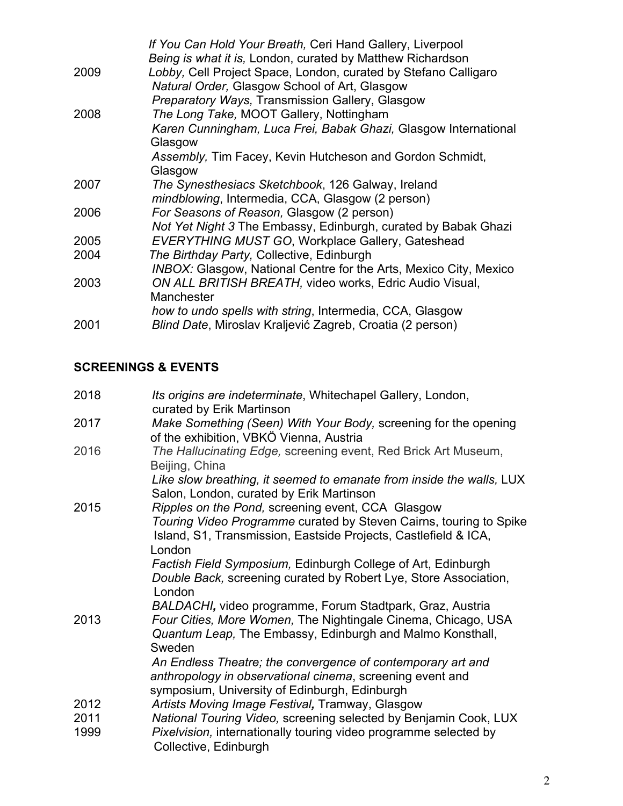|      | If You Can Hold Your Breath, Ceri Hand Gallery, Liverpool                |
|------|--------------------------------------------------------------------------|
|      | Being is what it is, London, curated by Matthew Richardson               |
| 2009 | Lobby, Cell Project Space, London, curated by Stefano Calligaro          |
|      | Natural Order, Glasgow School of Art, Glasgow                            |
|      | <b>Preparatory Ways, Transmission Gallery, Glasgow</b>                   |
| 2008 | The Long Take, MOOT Gallery, Nottingham                                  |
|      | Karen Cunningham, Luca Frei, Babak Ghazi, Glasgow International          |
|      | Glasgow                                                                  |
|      | Assembly, Tim Facey, Kevin Hutcheson and Gordon Schmidt,                 |
|      | Glasgow                                                                  |
| 2007 | The Synesthesiacs Sketchbook, 126 Galway, Ireland                        |
|      | mindblowing, Intermedia, CCA, Glasgow (2 person)                         |
| 2006 | For Seasons of Reason, Glasgow (2 person)                                |
|      | Not Yet Night 3 The Embassy, Edinburgh, curated by Babak Ghazi           |
| 2005 | EVERYTHING MUST GO, Workplace Gallery, Gateshead                         |
| 2004 | The Birthday Party, Collective, Edinburgh                                |
|      | <b>INBOX: Glasgow, National Centre for the Arts, Mexico City, Mexico</b> |
| 2003 | ON ALL BRITISH BREATH, video works, Edric Audio Visual,                  |
|      | Manchester                                                               |
|      | how to undo spells with string, Intermedia, CCA, Glasgow                 |
| 2001 | Blind Date, Miroslav Kraljević Zagreb, Croatia (2 person)                |

# **SCREENINGS & EVENTS**

| 2018 | Its origins are indeterminate, Whitechapel Gallery, London,<br>curated by Erik Martinson                                              |
|------|---------------------------------------------------------------------------------------------------------------------------------------|
| 2017 | Make Something (Seen) With Your Body, screening for the opening<br>of the exhibition, VBKÖ Vienna, Austria                            |
| 2016 | The Hallucinating Edge, screening event, Red Brick Art Museum,<br>Beijing, China                                                      |
|      | Like slow breathing, it seemed to emanate from inside the walls, LUX<br>Salon, London, curated by Erik Martinson                      |
| 2015 | Ripples on the Pond, screening event, CCA Glasgow                                                                                     |
|      | Touring Video Programme curated by Steven Cairns, touring to Spike<br>Island, S1, Transmission, Eastside Projects, Castlefield & ICA, |
|      | London                                                                                                                                |
|      | Factish Field Symposium, Edinburgh College of Art, Edinburgh                                                                          |
|      | Double Back, screening curated by Robert Lye, Store Association,<br>London                                                            |
|      | BALDACHI, video programme, Forum Stadtpark, Graz, Austria                                                                             |
| 2013 | Four Cities, More Women, The Nightingale Cinema, Chicago, USA                                                                         |
|      | Quantum Leap, The Embassy, Edinburgh and Malmo Konsthall,<br>Sweden                                                                   |
|      | An Endless Theatre; the convergence of contemporary art and                                                                           |
|      | anthropology in observational cinema, screening event and                                                                             |
|      | symposium, University of Edinburgh, Edinburgh                                                                                         |
| 2012 | Artists Moving Image Festival, Tramway, Glasgow                                                                                       |
| 2011 | National Touring Video, screening selected by Benjamin Cook, LUX                                                                      |
| 1999 | Pixelvision, internationally touring video programme selected by<br>Collective, Edinburgh                                             |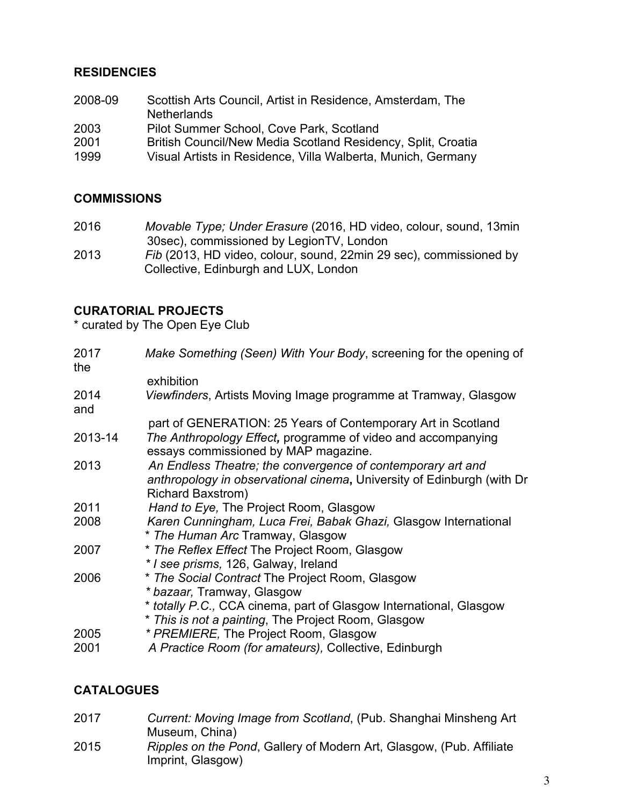### **RESIDENCIES**

| Scottish Arts Council, Artist in Residence, Amsterdam, The   |
|--------------------------------------------------------------|
| <b>Netherlands</b>                                           |
| Pilot Summer School, Cove Park, Scotland                     |
| British Council/New Media Scotland Residency, Split, Croatia |
| Visual Artists in Residence, Villa Walberta, Munich, Germany |
|                                                              |

# **COMMISSIONS**

| 2016 | Movable Type; Under Erasure (2016, HD video, colour, sound, 13min  |
|------|--------------------------------------------------------------------|
|      | 30sec), commissioned by LegionTV, London                           |
| 2013 | Fib (2013, HD video, colour, sound, 22min 29 sec), commissioned by |

Collective, Edinburgh and LUX, London

### **CURATORIAL PROJECTS**

\* curated by The Open Eye Club

| 2017<br>the  | Make Something (Seen) With Your Body, screening for the opening of                                                                                                                                         |
|--------------|------------------------------------------------------------------------------------------------------------------------------------------------------------------------------------------------------------|
|              | exhibition                                                                                                                                                                                                 |
| 2014<br>and  | Viewfinders, Artists Moving Image programme at Tramway, Glasgow                                                                                                                                            |
|              | part of GENERATION: 25 Years of Contemporary Art in Scotland                                                                                                                                               |
| 2013-14      | The Anthropology Effect, programme of video and accompanying<br>essays commissioned by MAP magazine.                                                                                                       |
| 2013         | An Endless Theatre; the convergence of contemporary art and<br>anthropology in observational cinema, University of Edinburgh (with Dr<br>Richard Baxstrom)                                                 |
| 2011         | Hand to Eye, The Project Room, Glasgow                                                                                                                                                                     |
| 2008         | Karen Cunningham, Luca Frei, Babak Ghazi, Glasgow International<br>* The Human Arc Tramway, Glasgow                                                                                                        |
| 2007         | * The Reflex Effect The Project Room, Glasgow<br>* I see prisms, 126, Galway, Ireland                                                                                                                      |
| 2006         | * The Social Contract The Project Room, Glasgow<br>* bazaar, Tramway, Glasgow<br>* totally P.C., CCA cinema, part of Glasgow International, Glasgow<br>* This is not a painting, The Project Room, Glasgow |
| 2005<br>2001 | * PREMIERE, The Project Room, Glasgow<br>A Practice Room (for amateurs), Collective, Edinburgh                                                                                                             |
|              |                                                                                                                                                                                                            |

### **CATALOGUES**

2017 *Current: Moving Image from Scotland*, (Pub. Shanghai Minsheng Art Museum, China) 2015 *Ripples on the Pond*, Gallery of Modern Art, Glasgow, (Pub. Affiliate Imprint, Glasgow)